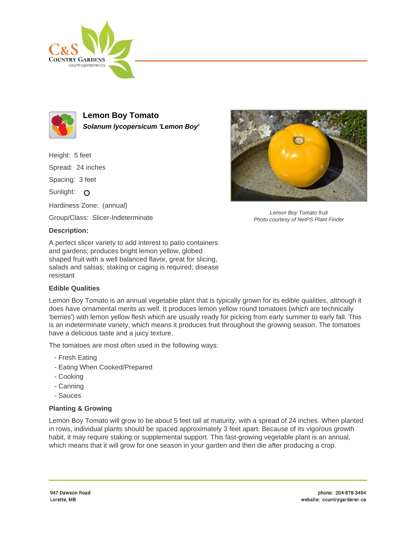



**Lemon Boy Tomato Solanum lycopersicum 'Lemon Boy'**

Height: 5 feet Spread: 24 inches Spacing: 3 feet Sunlight: O Hardiness Zone: (annual) Group/Class: Slicer-Indeterminate

## **Description:**

A perfect slicer variety to add interest to patio containers and gardens; produces bright lemon yellow, globed shaped fruit with a well balanced flavor, great for slicing, salads and salsas; staking or caging is required; disease resistant

## **Edible Qualities**

Lemon Boy Tomato is an annual vegetable plant that is typically grown for its edible qualities, although it does have ornamental merits as well. It produces lemon yellow round tomatoes (which are technically 'berries') with lemon yellow flesh which are usually ready for picking from early summer to early fall. This is an indeterminate variety, which means it produces fruit throughout the growing season. The tomatoes have a delicious taste and a juicy texture.

The tomatoes are most often used in the following ways:

- Fresh Eating
- Eating When Cooked/Prepared
- Cooking
- Canning
- Sauces

## **Planting & Growing**

Lemon Boy Tomato will grow to be about 5 feet tall at maturity, with a spread of 24 inches. When planted in rows, individual plants should be spaced approximately 3 feet apart. Because of its vigorous growth habit, it may require staking or supplemental support. This fast-growing vegetable plant is an annual, which means that it will grow for one season in your garden and then die after producing a crop.



Lemon Boy Tomato fruit Photo courtesy of NetPS Plant Finder